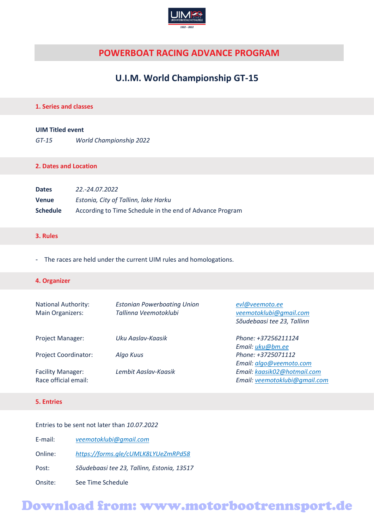

### **POWERBOAT RACING ADVANCE PROGRAM**

### **U.I.M. World Championship GT-15**

#### **1. Series and classes**

#### **UIM Titled event**

*GT-15 World Championship 2022*

#### **2. Dates and Location**

| <b>Dates</b>    | 22.-24.07.2022                                           |
|-----------------|----------------------------------------------------------|
| <b>Venue</b>    | Estonia, City of Tallinn, lake Harku                     |
| <b>Schedule</b> | According to Time Schedule in the end of Advance Program |

#### **3. Rules**

- The races are held under the current UIM rules and homologations.

#### **4. Organizer**

| <b>National Authority:</b><br>Main Organizers: | <b>Estonian Powerboating Union</b><br>Tallinna Veemotoklubi | evl@veemoto.ee<br>veemotoklubi@gmail.com<br>Sõudebaasi tee 23, Tallinn |
|------------------------------------------------|-------------------------------------------------------------|------------------------------------------------------------------------|
| <b>Project Manager:</b>                        | Uku Aaslav-Kaasik                                           | Phone: +37256211124                                                    |
|                                                |                                                             | Email: uku@bm.ee                                                       |
| <b>Project Coordinator:</b>                    | Algo Kuus                                                   | Phone: +3725071112                                                     |
|                                                |                                                             | Email: algo@veemoto.com                                                |
| <b>Facility Manager:</b>                       | Lembit Aaslav-Kaasik                                        | Email: kaasik02@hotmail.com                                            |
| Race official email:                           |                                                             | Email: veemotoklubi@gmail.com                                          |

#### **5. Entries**

#### Entries to be sent not later than *10.07.2022*

| E-mail: | veemotoklubi@gmail.com                     |
|---------|--------------------------------------------|
| Online: | https://forms.gle/cUMLK8LYUeZmRPd58        |
| Post:   | Sõudebaasi tee 23, Tallinn, Estonia, 13517 |
| Onsite: | See Time Schedule                          |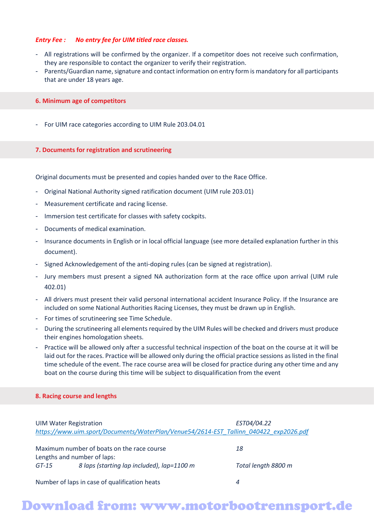#### *Entry Fee : No entry fee for UIM titled race classes.*

- All registrations will be confirmed by the organizer. If a competitor does not receive such confirmation, they are responsible to contact the organizer to verify their registration.
- Parents/Guardian name, signature and contact information on entry form is mandatory for all participants that are under 18 years age.

#### **6. Minimum age of competitors**

- For UIM race categories according to UIM Rule 203.04.01

#### **7. Documents for registration and scrutineering**

Original documents must be presented and copies handed over to the Race Office.

- Original National Authority signed ratification document (UIM rule 203.01)
- Measurement certificate and racing license.
- Immersion test certificate for classes with safety cockpits.
- Documents of medical examination.
- Insurance documents in English or in local official language (see more detailed explanation further in this document).
- Signed Acknowledgement of the anti-doping rules (can be signed at registration).
- Jury members must present a signed NA authorization form at the race office upon arrival (UIM rule 402.01)
- All drivers must present their valid personal international accident Insurance Policy. If the Insurance are included on some National Authorities Racing Licenses, they must be drawn up in English.
- For times of scrutineering see Time Schedule.
- During the scrutineering all elements required by the UIM Rules will be checked and drivers must produce their engines homologation sheets.
- Practice will be allowed only after a successful technical inspection of the boat on the course at it will be laid out for the races. Practice will be allowed only during the official practice sessions as listed in the final time schedule of the event. The race course area will be closed for practice during any other time and any boat on the course during this time will be subject to disqualification from the event

#### **8. Racing course and lengths**

| <b>UIM Water Registration</b>                                                         | EST04/04.22         |
|---------------------------------------------------------------------------------------|---------------------|
| https://www.uim.sport/Documents/WaterPlan/Venue54/2614-EST Tallinn 040422 exp2026.pdf |                     |
|                                                                                       |                     |
| Maximum number of boats on the race course                                            | 18                  |
| Lengths and number of laps:                                                           |                     |
| 8 laps (starting lap included), lap=1100 m<br>$GT-15$                                 | Total length 8800 m |
|                                                                                       |                     |

Number of laps in case of qualification heats *4*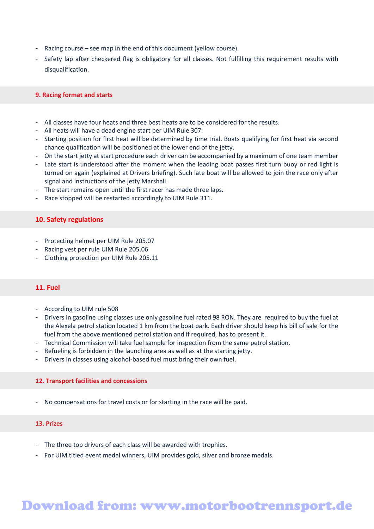- Racing course see map in the end of this document (yellow course).
- Safety lap after checkered flag is obligatory for all classes. Not fulfilling this requirement results with disqualification.

#### **9. Racing format and starts**

- All classes have four heats and three best heats are to be considered for the results.
- All heats will have a dead engine start per UIM Rule 307.
- Starting position for first heat will be determined by time trial. Boats qualifying for first heat via second chance qualification will be positioned at the lower end of the jetty.
- On the start jetty at start procedure each driver can be accompanied by a maximum of one team member
- Late start is understood after the moment when the leading boat passes first turn buoy or red light is turned on again (explained at Drivers briefing). Such late boat will be allowed to join the race only after signal and instructions of the jetty Marshall.
- The start remains open until the first racer has made three laps.
- Race stopped will be restarted accordingly to UIM Rule 311.

#### **10. Safety regulations**

- Protecting helmet per UIM Rule 205.07
- Racing vest per rule UIM Rule 205.06
- Clothing protection per UIM Rule 205.11

#### **11. Fuel**

- According to UIM rule 508
- Drivers in gasoline using classes use only gasoline fuel rated 98 RON. They are required to buy the fuel at the Alexela petrol station located 1 km from the boat park. Each driver should keep his bill of sale for the fuel from the above mentioned petrol station and if required, has to present it.
- Technical Commission will take fuel sample for inspection from the same petrol station.
- Refueling is forbidden in the launching area as well as at the starting jetty.
- Drivers in classes using alcohol-based fuel must bring their own fuel.

#### **12. Transport facilities and concessions**

- No compensations for travel costs or for starting in the race will be paid.

#### **13. Prizes**

- The three top drivers of each class will be awarded with trophies.
- For UIM titled event medal winners, UIM provides gold, silver and bronze medals.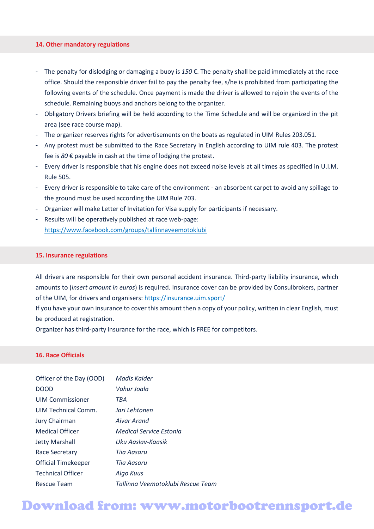#### **14. Other mandatory regulations**

- The penalty for dislodging or damaging a buoy is *150* €. The penalty shall be paid immediately at the race office. Should the responsible driver fail to pay the penalty fee, s/he is prohibited from participating the following events of the schedule. Once payment is made the driver is allowed to rejoin the events of the schedule. Remaining buoys and anchors belong to the organizer.
- Obligatory Drivers briefing will be held according to the Time Schedule and will be organized in the pit area (see race course map).
- The organizer reserves rights for advertisements on the boats as regulated in UIM Rules 203.051.
- Any protest must be submitted to the Race Secretary in English according to UIM rule 403. The protest fee is *80* € payable in cash at the time of lodging the protest.
- Every driver is responsible that his engine does not exceed noise levels at all times as specified in U.I.M. Rule 505.
- Every driver is responsible to take care of the environment an absorbent carpet to avoid any spillage to the ground must be used according the UIM Rule 703.
- Organizer will make Letter of Invitation for Visa supply for participants if necessary.
- Results will be operatively published at race web-page: <https://www.facebook.com/groups/tallinnaveemotoklubi>

#### **15. Insurance regulations**

All drivers are responsible for their own personal accident insurance. Third-party liability insurance, which amounts to (*insert amount in euros*) is required. Insurance cover can be provided by Consulbrokers, partner of the UIM, for drivers and organisers: <https://insurance.uim.sport/>

If you have your own insurance to cover this amount then a copy of your policy, written in clear English, must be produced at registration.

Organizer has third-party insurance for the race, which is FREE for competitors.

#### **16. Race Officials**

| Officer of the Day (OOD)   | Madis Kalder                      |
|----------------------------|-----------------------------------|
| <b>DOOD</b>                | Vahur Joala                       |
| <b>UIM Commissioner</b>    | TBA                               |
| UIM Technical Comm.        | Jari Lehtonen                     |
| Jury Chairman              | Aivar Arand                       |
| <b>Medical Officer</b>     | Medical Service Estonia           |
| <b>Jetty Marshall</b>      | Uku Aaslav-Kaasik                 |
| Race Secretary             | Tija Aasaru                       |
| <b>Official Timekeeper</b> | Tiia Aasaru                       |
| <b>Technical Officer</b>   | Algo Kuus                         |
| <b>Rescue Team</b>         | Tallinna Veemotoklubi Rescue Team |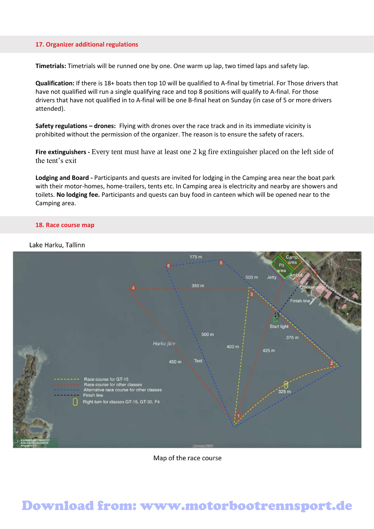#### **17. Organizer additional regulations**

**Timetrials:** Timetrials will be runned one by one. One warm up lap, two timed laps and safety lap.

**Qualification:** If there is 18+ boats then top 10 will be qualified to A-final by timetrial. For Those drivers that have not qualified will run a single qualifying race and top 8 positions will qualify to A-final. For those drivers that have not qualified in to A-final will be one B-final heat on Sunday (in case of 5 or more drivers attended).

**Safety regulations – drones:** Flying with drones over the race track and in its immediate vicinity is prohibited without the permission of the organizer. The reason is to ensure the safety of racers.

**Fire extinguishers -** Every tent must have at least one 2 kg fire extinguisher placed on the left side of the tent's exit

**Lodging and Board -** Participants and quests are invited for lodging in the Camping area near the boat park with their motor-homes, home-trailers, tents etc. In Camping area is electricity and nearby are showers and toilets. **No lodging fee.** Participants and quests can buy food in canteen which will be opened near to the Camping area.

#### **18. Race course map**

## 175 m  $500<sub>m</sub>$ 350 m **Start light**  $500<sub>m</sub>$  $375<sub>m</sub>$ Harku järv 400 m 425 m 450 m Race course for GT-15 Race course for other classes<br>Alternative race course for other classes sh line Right turn for classes GT-15, GT-30, F4

Lake Harku, Tallinn

Map of the race course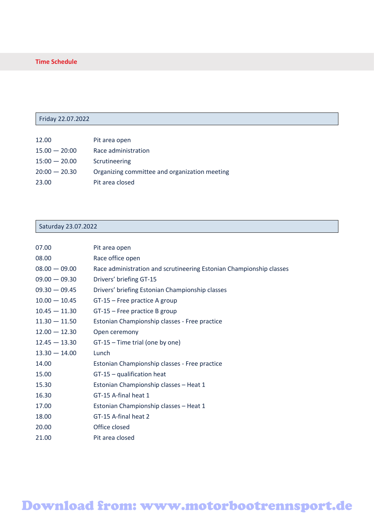#### **Time Schedule**

#### Friday 22.07.2022

| Pit area open                                 |
|-----------------------------------------------|
| Race administration                           |
| Scrutineering                                 |
| Organizing committee and organization meeting |
| Pit area closed                               |
|                                               |

#### Saturday 23.07.2022

| 07.00           | Pit area open                                                       |
|-----------------|---------------------------------------------------------------------|
| 08.00           | Race office open                                                    |
| $08.00 - 09.00$ | Race administration and scrutineering Estonian Championship classes |
| $09.00 - 09.30$ | Drivers' briefing GT-15                                             |
| $09.30 - 09.45$ | Drivers' briefing Estonian Championship classes                     |
| $10.00 - 10.45$ | $GT-15$ – Free practice A group                                     |
| $10.45 - 11.30$ | GT-15 - Free practice B group                                       |
| $11.30 - 11.50$ | Estonian Championship classes - Free practice                       |
| $12.00 - 12.30$ | Open ceremony                                                       |
| $12.45 - 13.30$ | GT-15 – Time trial (one by one)                                     |
| $13.30 - 14.00$ | Lunch                                                               |
| 14.00           | Estonian Championship classes - Free practice                       |
| 15.00           | $GT-15 -$ qualification heat                                        |
| 15.30           | Estonian Championship classes - Heat 1                              |
| 16.30           | GT-15 A-final heat 1                                                |
| 17.00           | Estonian Championship classes - Heat 1                              |
| 18.00           | GT-15 A-final heat 2                                                |
| 20.00           | Office closed                                                       |
| 21.00           | Pit area closed                                                     |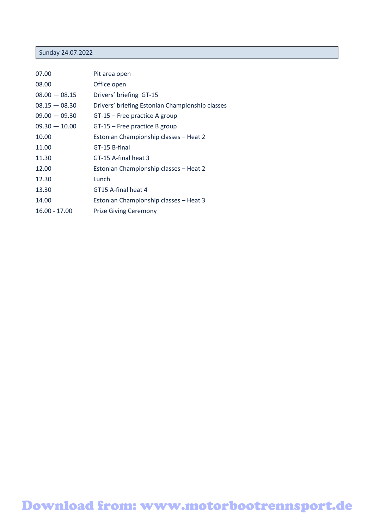Sunday 24.07.2022

| 07.00           | Pit area open                                   |
|-----------------|-------------------------------------------------|
| 08.00           | Office open                                     |
| $08.00 - 08.15$ | Drivers' briefing GT-15                         |
| $08.15 - 08.30$ | Drivers' briefing Estonian Championship classes |
| $09.00 - 09.30$ | $GT-15$ – Free practice A group                 |
| $09.30 - 10.00$ | $GT-15$ – Free practice B group                 |
| 10.00           | Estonian Championship classes - Heat 2          |
| 11.00           | GT-15 B-final                                   |
| 11.30           | GT-15 A-final heat 3                            |
| 12.00           | Estonian Championship classes - Heat 2          |
| 12.30           | Lunch                                           |
| 13.30           | GT15 A-final heat 4                             |
| 14.00           | Estonian Championship classes - Heat 3          |
| $16.00 - 17.00$ | <b>Prize Giving Ceremony</b>                    |